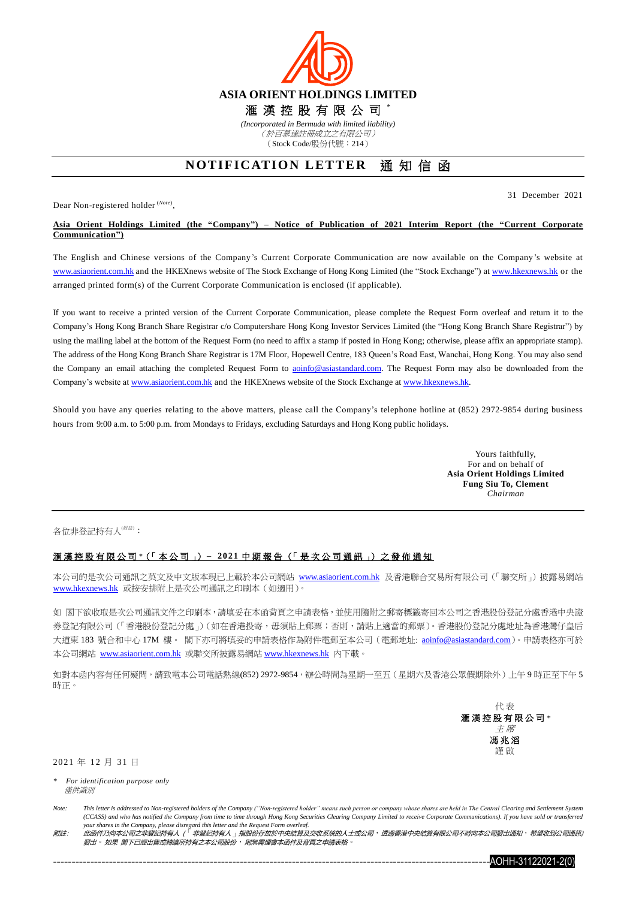

## **NOTIFICATION LETTER** 通知信函

Dear Non-registered holder (*Note*) ,

31 December 2021

## **Asia Orient Holdings Limited (the "Company") – Notice of Publication of 2021 Interim Report (the "Current Corporate Communication")**

The English and Chinese versions of the Company's Current Corporate Communication are now available on the Company 's website at [www.asiaorient.com.hk](http://www.asiaorient.com.hk/) and the HKEXnews website of The Stock Exchange of Hong Kong Limited (the "Stock Exchange") at [www.hkexnews.hk](http://www.hkexnews.hk/) or the arranged printed form(s) of the Current Corporate Communication is enclosed (if applicable).

If you want to receive a printed version of the Current Corporate Communication, please complete the Request Form overleaf and return it to the Company's Hong Kong Branch Share Registrar c/o Computershare Hong Kong Investor Services Limited (the "Hong Kong Branch Share Registrar") by using the mailing label at the bottom of the Request Form (no need to affix a stamp if posted in Hong Kong; otherwise, please affix an appropriate stamp). The address of the Hong Kong Branch Share Registrar is 17M Floor, Hopewell Centre, 183 Queen's Road East, Wanchai, Hong Kong. You may also send the Company an email attaching the completed Request Form to aoinfo@asiastandard.com. The Request Form may also be downloaded from the Company's website at [www.asiaorient.com.hk](http://www.asiaorient.com.hk/) and the HKEXnews website of the Stock Exchange a[t www.hkexnews.hk.](http://www.hkexnews.hk/)

Should you have any queries relating to the above matters, please call the Company's telephone hotline at (852) 2972-9854 during business hours from 9:00 a.m. to 5:00 p.m. from Mondays to Fridays, excluding Saturdays and Hong Kong public holidays.

> Yours faithfully, For and on behalf of **Asia Orient Holdings Limited Fung Siu To, Clement** *Chairman*

各位非登記持有人(##):

## 滙 漢 控 股 有 限 公 司 *\**(「 本 公 司 」) **– 20 2 1** 中 期 報 告 (「 是 次 公 司 通 訊 」) 之 發 佈 通 知

本公司的是次公司通訊之英文及中文版本現已上載於本公司網站 [www.asiaorient.com.hk](http://www.asiaorient.com.hk/) 及香港聯合交易所有限公司(「聯交所」)披露易網站 [www.hkexnews.hk](http://www.hkexnews.hk/index_c.htm) 或按安排附上是次公司通訊之印刷本(如適用)。

如 閣下欲收取是次公司通訊文件之印刷本,請填妥在本函背頁之申請表格,並使用隨附之郵寄標籤寄回本公司之香港股份登記分處香港中央證 券登記有限公司(「香港股份登記分處」)(如在香港投寄,毋須貼上郵票;否則,請貼上適當的郵票)。香港股份登記分處地址為香港灣仔皇后 大道東 183 號合和中心 17M 樓。 閣下亦可將填妥的申請表格作為附件電郵至本公司 (電郵地址: aoinfo@asiastandard.com)。申請表格亦可於 本公司網站 [www.asiaorient.com.hk](http://www.asiaorient.com.hk/) 或聯交所披露易網站 [www.hkexnews.hk](http://www.hkexnews.hk/index_c.htm) 內下載。

如對本函內容有任何疑問,請致電本公司電話熱線(852) 2972-9854,辦公時間為星期一至五(星期六及香港公眾假期除外)上午9時正至下午5 時正。

> 代 表 滙 漢 控 股 有 限 公 司 *\** 主 席 馮 兆 滔 謹 啟

2021 年 12 月 31 日

*\* For identification purpose only* 僅供識別

*附註: 此函件乃向本公司之非登記持有人(<sup>「</sup>非登記持有人、指股份存放於中央結算及交收系統的人士或公司*,透過香港中央結算有限公司不時向本公司發出通知,希望收到公司通訊) 發出。如果 閣下已經出售或轉讓所持有之本公司股份, 則無需理會本函件及背頁之申請表格



*Note: This letter is addressed to Non-registered holders of the Company ("Non-registered holder" means such person or company whose shares are held in The Central Clearing and Settlement System (CCASS) and who has notified the Company from time to time through Hong Kong Securities Clearing Company Limited to receive Corporate Communications). If you have sold or transferred your shares in the Company, please disregard this letter and the Request Form overleaf.*